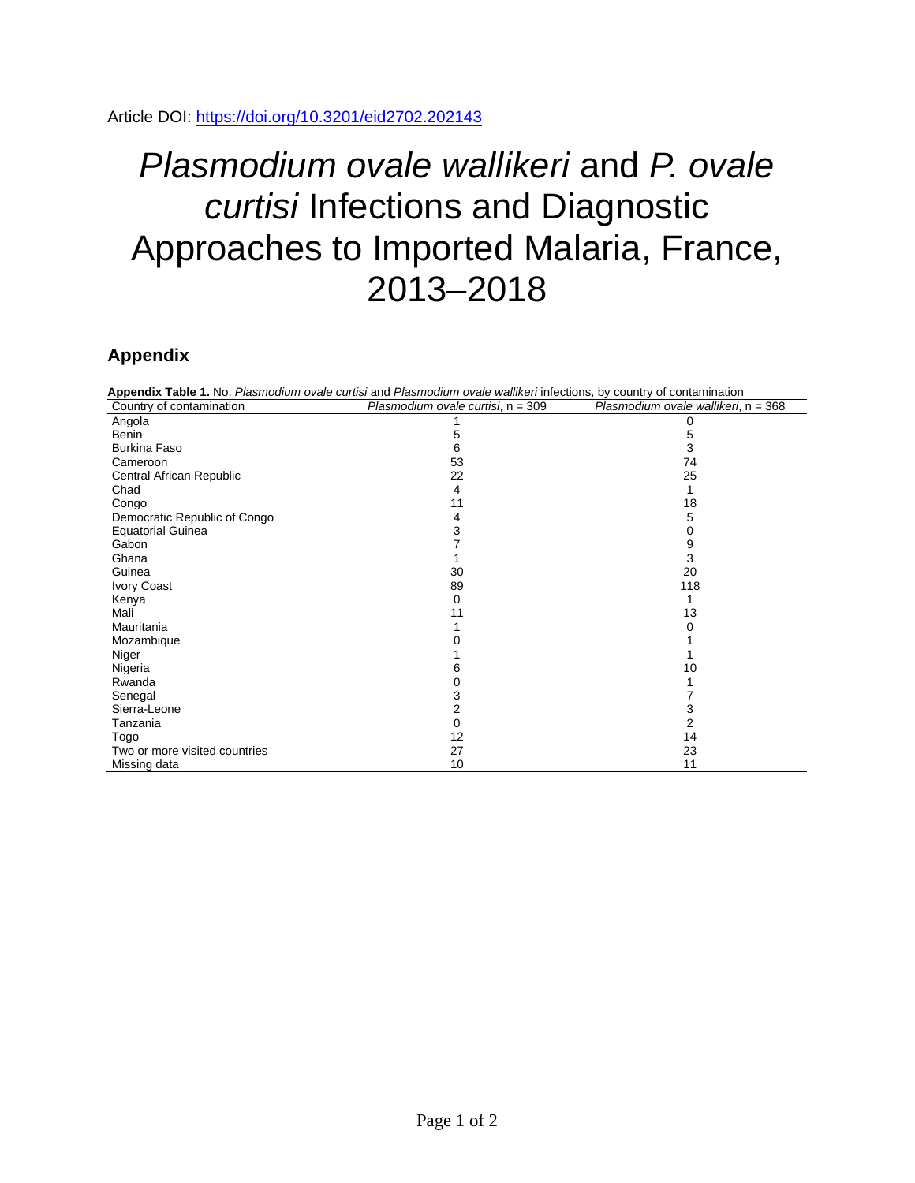## *Plasmodium ovale wallikeri* and *P. ovale curtisi* Infections and Diagnostic Approaches to Imported Malaria, France, 2013–2018

## **Appendix**

| Appendix Table 1. No. Plasmodium ovale curtisi and Plasmodium ovale wallikeri infections, by country of contamination |                                   |                                     |  |  |
|-----------------------------------------------------------------------------------------------------------------------|-----------------------------------|-------------------------------------|--|--|
| Country of contamination                                                                                              | Plasmodium ovale curtisi, n = 309 | Plasmodium ovale wallikeri, n = 368 |  |  |
| Angola                                                                                                                |                                   |                                     |  |  |
| Benin                                                                                                                 |                                   | 5                                   |  |  |
| <b>Burkina Faso</b>                                                                                                   | 6                                 | 3                                   |  |  |
| Cameroon                                                                                                              | 53                                | 74                                  |  |  |
| Central African Republic                                                                                              | 22                                | 25                                  |  |  |
| Chad                                                                                                                  | 4                                 |                                     |  |  |
| Congo                                                                                                                 | 11                                | 18                                  |  |  |
| Democratic Republic of Congo                                                                                          | 4                                 | 5                                   |  |  |
| <b>Equatorial Guinea</b>                                                                                              | 3                                 |                                     |  |  |
| Gabon                                                                                                                 |                                   | 9                                   |  |  |
| Ghana                                                                                                                 |                                   | 3                                   |  |  |
| Guinea                                                                                                                | 30                                | 20                                  |  |  |
| <b>Ivory Coast</b>                                                                                                    | 89                                | 118                                 |  |  |
| Kenya                                                                                                                 | 0                                 |                                     |  |  |
| Mali                                                                                                                  | 11                                | 13                                  |  |  |
| Mauritania                                                                                                            |                                   |                                     |  |  |
| Mozambique                                                                                                            |                                   |                                     |  |  |
| Niger                                                                                                                 |                                   |                                     |  |  |
| Nigeria                                                                                                               |                                   | 10                                  |  |  |
| Rwanda                                                                                                                |                                   |                                     |  |  |
| Senegal                                                                                                               | 3                                 |                                     |  |  |
| Sierra-Leone                                                                                                          |                                   |                                     |  |  |
| Tanzania                                                                                                              | 0                                 | 2                                   |  |  |
| Togo                                                                                                                  | 12                                | 14                                  |  |  |
| Two or more visited countries                                                                                         | 27                                | 23                                  |  |  |
| Missing data                                                                                                          | 10                                | 11                                  |  |  |